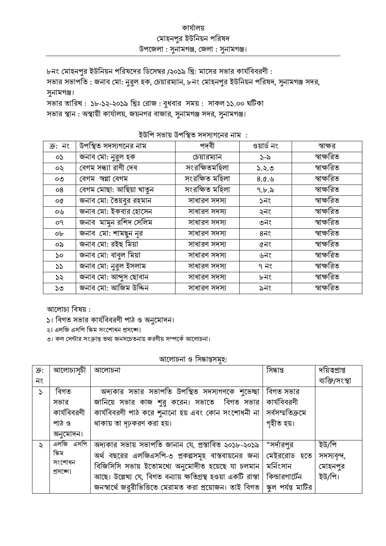## কাৰ্যালয় মোহনপুর ইউনিয়ন পরিষদ উপজেলা: সুনামগঞ্জ, জেলা: সুনামগঞ্জ।

৮নং মোহনপুর ইউনিয়ন পরিষদের ডিসেম্বর /২০১৯ খ্রি: মাসের সভার কার্যবিবরণী: সভার সভাপতি : জনাব মো: নুরুল হক, চেয়ারম্যান, ৮নং মোহনপুর ইউনিয়ন পরিষদ, সুনামগঞ্জ সদর, সুনামগঞ্জ। সভার তারিখ: ১৮-১২-২০১৯ খ্রিঃ রোজ: বুধবার সময়: সাকল ১১.০০ ঘটিকা

সভার স্থান : অস্থায়ী কার্যালয়, জয়নগর বাজার, সুনামগঞ্জ সদর, সুনামগঞ্জ।

ইউপি সভায় উপস্থিত সদস্যগনের নাম :

| ক্র: নং | উপস্থিত সদস্যগনের নাম   | পদবী           | ওয়ার্ড নং        | স্বাক্ষর   |
|---------|-------------------------|----------------|-------------------|------------|
| oS.     | জনাব মো: নুরুল হক       | চেয়ারম্যান    | $5 - 5$           | স্বাক্ষরিত |
| ০২      | বেগম সন্ধ্যা রাণী দেব   | সংরক্ষিতমহিলা  | ১.২.৩             | স্বাক্ষরিত |
| OQ      | বেগম স্বপ্না বেগম       | সংরক্ষিত মহিলা | 8.0. $\&$         | স্বাক্ষরিত |
| 08      | বেগম মোছা: আছিয়া খাতুন | সংরক্ষিত মহিলা | 9.5.5             | স্বাক্ষরিত |
| o¢      | জনাব মো: তৈয়বুর রহমান  | সাধারণ সদস্য   | ১নং               | স্বাক্ষরিত |
| ০৬      | জনাব মো: ইকবার হোসেন    | সাধারণ সদস্য   | ২নং               | স্বাক্ষরিত |
| οq      | জনাব মামুন রশিদ সেলিম   | সাধারণ সদস্য   | ৩নং               | স্বাক্ষরিত |
| ob      | জনাব মো: শামছুন নূর     | সাধারণ সদস্য   | $8\overline{1}$ ९ | স্বাক্ষরিত |
| ০৯      | জনাব মো: রইছ মিয়া      | সাধারণ সদস্য   | ৫নং               | স্বাক্ষরিত |
| ১০      | জনাব মো: বাবুল মিয়া    | সাধারণ সদস্য   | ৬নং               | স্বাক্ষরিত |
| 55      | জনাব মো: নুরুল ইসলাম    | সাধারণ সদস্য   | ৭ নং              | স্বাক্ষরিত |
| ১২      | জনাব মো: আব্দুস ছোবান   | সাধারণ সদস্য   | ৮নং               | স্বাক্ষরিত |
| ১৩      | জনাব মো: আজিম উদ্দিন    | সাধারণ সদস্য   | ৯নং               | স্বাক্ষরিত |

আলোচ্য বিষয়:

১। বিগত সভার কার্যবিবরণী পাঠ ও অনুমোদন।

২। এলজি এসপি স্কিম সংশোধন প্রসজো।

৩। কল সেন্টার সংক্রান্ত তথ্য জনসচেতনায় করণীয় সম্পর্কে আলোচনা।

## আলোচনা ও সিদ্ধান্তসমহ:

| ক্রি: | আলোচ্যসূচী  | আলোচনা                                                                        | সিদ্ধান্ত       | দয়িত্বপ্ৰাপ্ত |
|-------|-------------|-------------------------------------------------------------------------------|-----------------|----------------|
| নং    |             |                                                                               |                 | ব্যক্তি/সংস্থা |
| S     | বিগত        | অদ্যকার সভার সভাপতি উপস্থিত সদস্যগণকে শুভেচ্ছা                                | বিগত সভার       |                |
|       | সভার        | জানিয়ে সভার কাজ শুরু করেন। সভাতে বিগত সভার                                   | কার্যবিবরণী     |                |
|       | কার্যবিবরণী | কাৰ্যবিবরণী পাঠ করে শুনানো হয় এবং কোন সংশোধনী না                             | সর্বসম্মতিক্রমে |                |
|       | পাঠ ও       | থাকায় তা দঢ়করণ করা হয়।                                                     | গৃহীত হয়।      |                |
|       | অনুমোদন।    |                                                                               |                 |                |
| Ş     | এলজি এসপি   | অদ্যকার সভায় সভাপতি জানান যে, প্রস্তাবিত ২০১৮-২০১৯                           | "সর্দারপর       | ইউ/পি          |
|       | স্কিম       | অর্থ বছরের এলজিএসপি-৩ প্রকল্পসমূহ বাস্তবায়নের জন্য                           | মেইররোড হতে     | সদস্যবন্দ,     |
|       | সংশোধন      | বিজিসিসি সভায় ইতোমধ্যে অনুমোদীত হয়েছে যা চলমান                              | মর্নিংসান       | মোহনপুর        |
|       | প্ৰসঞ্জো।   | আছে। উল্লেখ্য যে, বিগত বন্যায় ক্ষতিগ্রস্থ হওয়া একটি রাস্তা   কিন্ডারগার্টেন |                 | ইউ/পি।         |
|       |             | জনস্বার্থে জরুরীভিত্তিতে মেরামত করা প্রয়োজন। তাই বিগত   স্কুল পর্যন্ত মাটির  |                 |                |